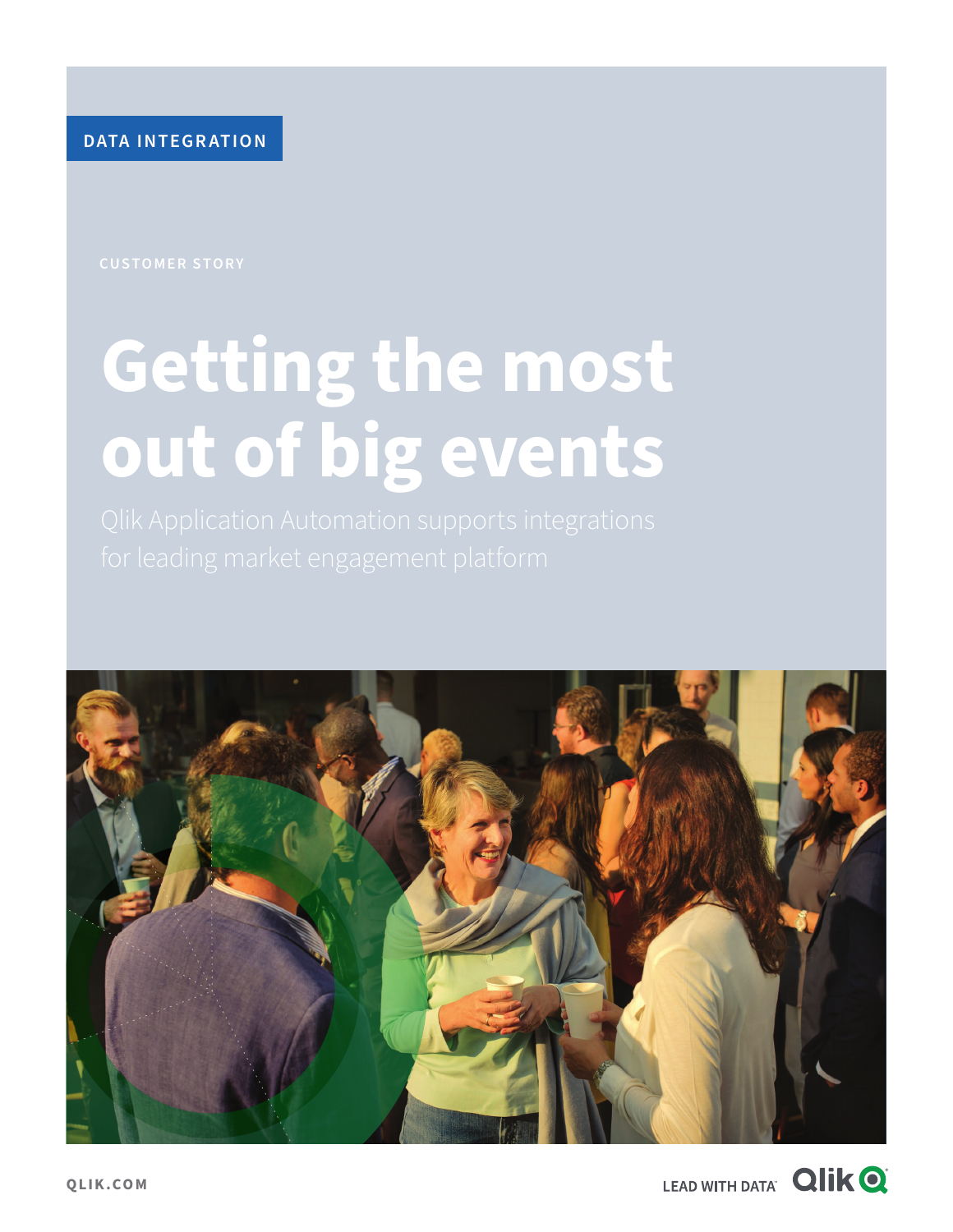**DATA INTEGRATION**

# **Getting the most out of big events**



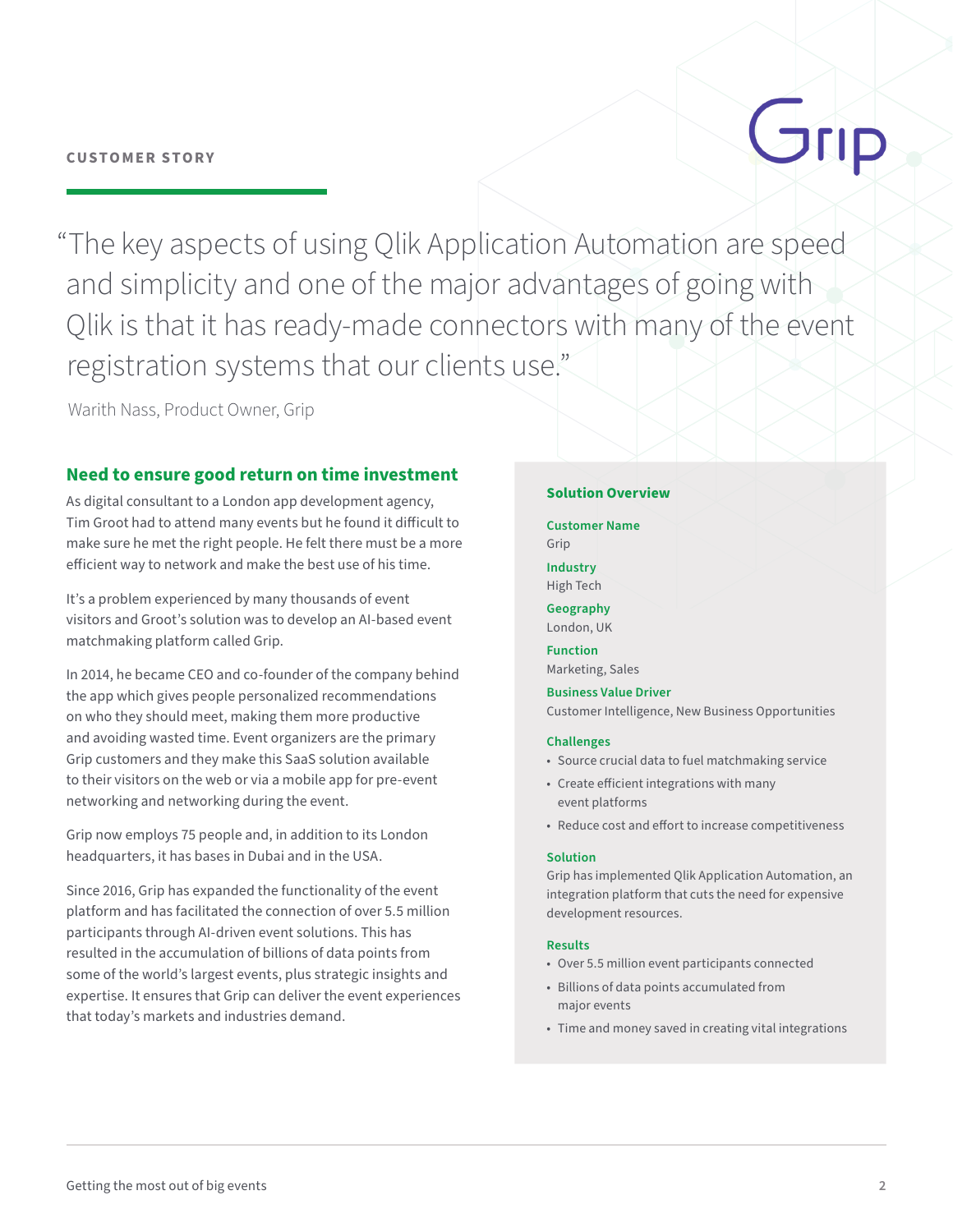# Grip

"The key aspects of using Qlik Application Automation are speed and simplicity and one of the major advantages of going with Qlik is that it has ready-made connectors with many of the event registration systems that our clients use."

Warith Nass, Product Owner, Grip

## **Need to ensure good return on time investment**

As digital consultant to a London app development agency, Tim Groot had to attend many events but he found it difficult to make sure he met the right people. He felt there must be a more efficient way to network and make the best use of his time.

It's a problem experienced by many thousands of event visitors and Groot's solution was to develop an AI-based event matchmaking platform called Grip.

In 2014, he became CEO and co-founder of the company behind the app which gives people personalized recommendations on who they should meet, making them more productive and avoiding wasted time. Event organizers are the primary Grip customers and they make this SaaS solution available to their visitors on the web or via a mobile app for pre-event networking and networking during the event.

Grip now employs 75 people and, in addition to its London headquarters, it has bases in Dubai and in the USA.

Since 2016, Grip has expanded the functionality of the event platform and has facilitated the connection of over 5.5 million participants through AI-driven event solutions. This has resulted in the accumulation of billions of data points from some of the world's largest events, plus strategic insights and expertise. It ensures that Grip can deliver the event experiences that today's markets and industries demand.

#### **Solution Overview**

**Customer Name**  Grip

**Industry**  High Tech

**Geography**  London, UK

**Function**  Marketing, Sales

**Business Value Driver**  Customer Intelligence, New Business Opportunities

#### **Challenges**

- Source crucial data to fuel matchmaking service
- Create efficient integrations with many event platforms
- Reduce cost and effort to increase competitiveness

#### **Solution**

Grip has implemented Qlik Application Automation, an integration platform that cuts the need for expensive development resources.

#### **Results**

- Over 5.5 million event participants connected
- Billions of data points accumulated from major events
- Time and money saved in creating vital integrations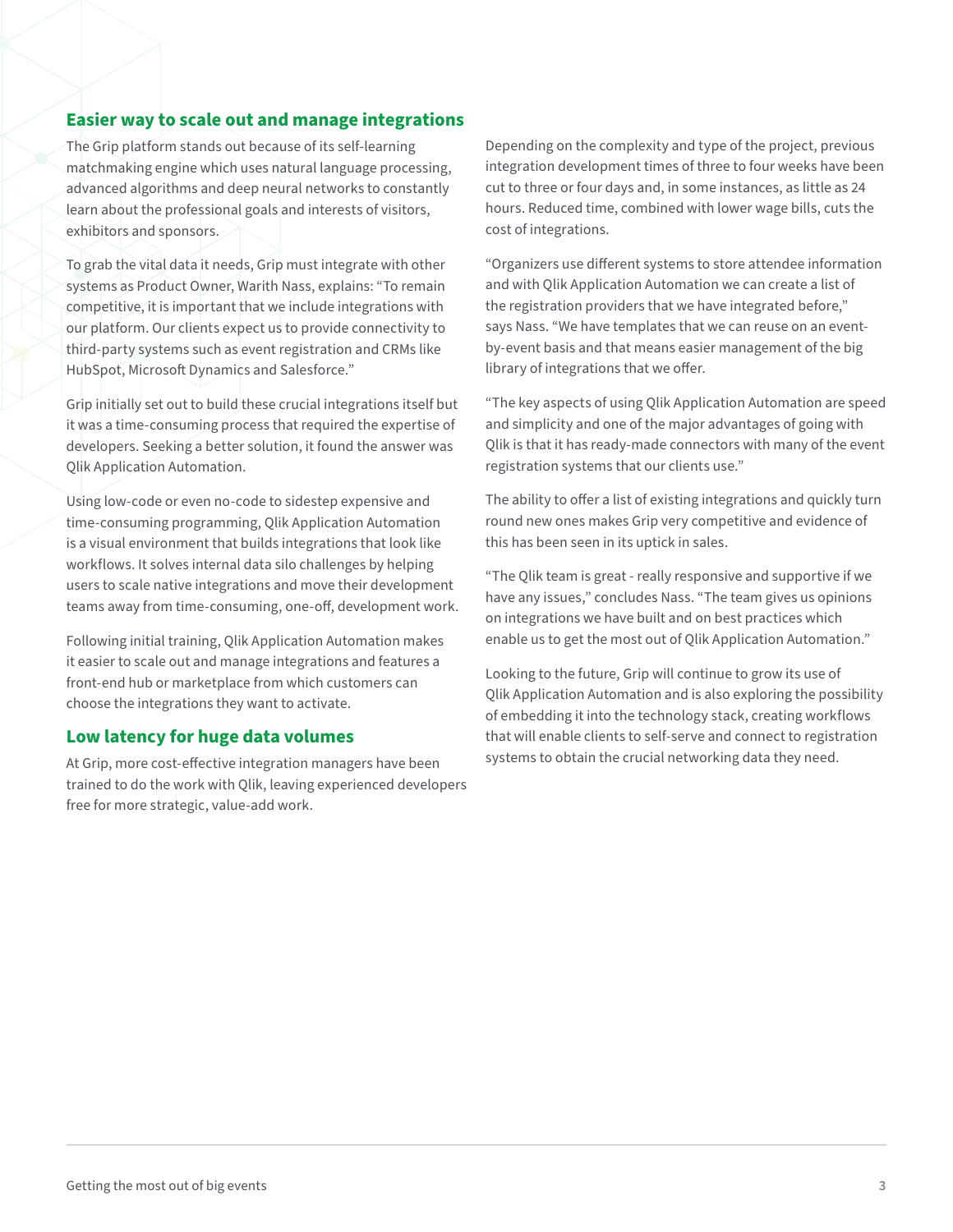### **Easier way to scale out and manage integrations**

The Grip platform stands out because of its self-learning matchmaking engine which uses natural language processing, advanced algorithms and deep neural networks to constantly learn about the professional goals and interests of visitors, exhibitors and sponsors.

To grab the vital data it needs, Grip must integrate with other systems as Product Owner, Warith Nass, explains: "To remain competitive, it is important that we include integrations with our platform. Our clients expect us to provide connectivity to third-party systems such as event registration and CRMs like HubSpot, Microsoft Dynamics and Salesforce."

Grip initially set out to build these crucial integrations itself but it was a time-consuming process that required the expertise of developers. Seeking a better solution, it found the answer was Qlik Application Automation.

Using low-code or even no-code to sidestep expensive and time-consuming programming, Qlik Application Automation is a visual environment that builds integrations that look like workflows. It solves internal data silo challenges by helping users to scale native integrations and move their development teams away from time-consuming, one-off, development work.

Following initial training, Qlik Application Automation makes it easier to scale out and manage integrations and features a front-end hub or marketplace from which customers can choose the integrations they want to activate.

### **Low latency for huge data volumes**

At Grip, more cost-effective integration managers have been trained to do the work with Qlik, leaving experienced developers free for more strategic, value-add work.

Depending on the complexity and type of the project, previous integration development times of three to four weeks have been cut to three or four days and, in some instances, as little as 24 hours. Reduced time, combined with lower wage bills, cuts the cost of integrations.

"Organizers use different systems to store attendee information and with Qlik Application Automation we can create a list of the registration providers that we have integrated before," says Nass. "We have templates that we can reuse on an eventby-event basis and that means easier management of the big library of integrations that we offer.

"The key aspects of using Qlik Application Automation are speed and simplicity and one of the major advantages of going with Qlik is that it has ready-made connectors with many of the event registration systems that our clients use."

The ability to offer a list of existing integrations and quickly turn round new ones makes Grip very competitive and evidence of this has been seen in its uptick in sales.

"The Qlik team is great - really responsive and supportive if we have any issues," concludes Nass. "The team gives us opinions on integrations we have built and on best practices which enable us to get the most out of Qlik Application Automation."

Looking to the future, Grip will continue to grow its use of Qlik Application Automation and is also exploring the possibility of embedding it into the technology stack, creating workflows that will enable clients to self-serve and connect to registration systems to obtain the crucial networking data they need.